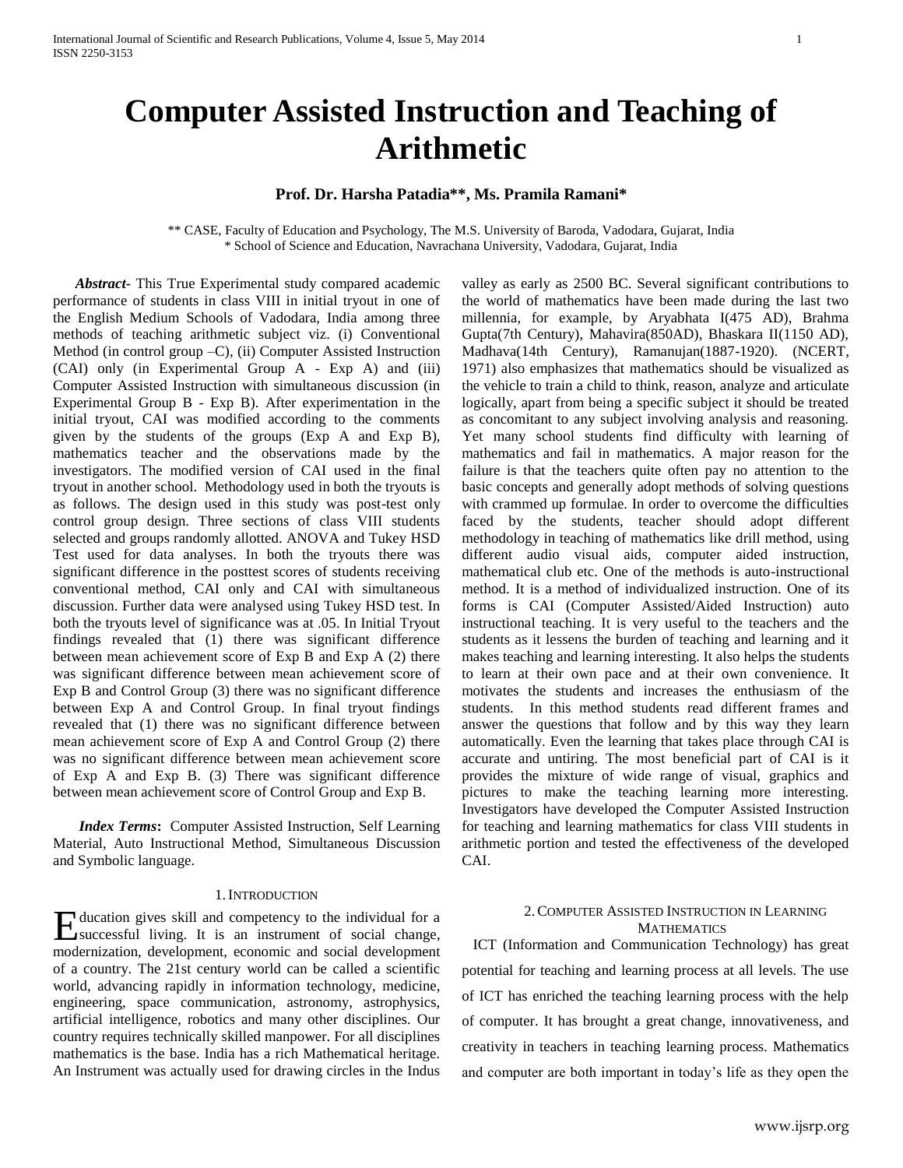# **Computer Assisted Instruction and Teaching of Arithmetic**

# **Prof. Dr. Harsha Patadia\*\*, Ms. Pramila Ramani\***

\*\* CASE, Faculty of Education and Psychology, The M.S. University of Baroda, Vadodara, Gujarat, India \* School of Science and Education, Navrachana University, Vadodara, Gujarat, India

 *Abstract***-** This True Experimental study compared academic performance of students in class VIII in initial tryout in one of the English Medium Schools of Vadodara, India among three methods of teaching arithmetic subject viz. (i) Conventional Method (in control group –C), (ii) Computer Assisted Instruction (CAI) only (in Experimental Group A - Exp A) and (iii) Computer Assisted Instruction with simultaneous discussion (in Experimental Group B - Exp B). After experimentation in the initial tryout, CAI was modified according to the comments given by the students of the groups (Exp A and Exp B), mathematics teacher and the observations made by the investigators. The modified version of CAI used in the final tryout in another school. Methodology used in both the tryouts is as follows. The design used in this study was post-test only control group design. Three sections of class VIII students selected and groups randomly allotted. ANOVA and Tukey HSD Test used for data analyses. In both the tryouts there was significant difference in the posttest scores of students receiving conventional method, CAI only and CAI with simultaneous discussion. Further data were analysed using Tukey HSD test. In both the tryouts level of significance was at .05. In Initial Tryout findings revealed that (1) there was significant difference between mean achievement score of Exp B and Exp A (2) there was significant difference between mean achievement score of Exp B and Control Group (3) there was no significant difference between Exp A and Control Group. In final tryout findings revealed that (1) there was no significant difference between mean achievement score of Exp A and Control Group (2) there was no significant difference between mean achievement score of Exp A and Exp B. (3) There was significant difference between mean achievement score of Control Group and Exp B.

*Index Terms***:** Computer Assisted Instruction, Self Learning Material, Auto Instructional Method, Simultaneous Discussion and Symbolic language.

#### 1.INTRODUCTION

ducation gives skill and competency to the individual for a Education gives skill and competency to the individual for a successful living. It is an instrument of social change, modernization, development, economic and social development of a country. The 21st century world can be called a scientific world, advancing rapidly in information technology, medicine, engineering, space communication, astronomy, astrophysics, artificial intelligence, robotics and many other disciplines. Our country requires technically skilled manpower. For all disciplines mathematics is the base. India has a rich Mathematical heritage. An Instrument was actually used for drawing circles in the Indus

valley as early as 2500 BC. Several significant contributions to the world of mathematics have been made during the last two millennia, for example, by Aryabhata I(475 AD), Brahma Gupta(7th Century), Mahavira(850AD), Bhaskara II(1150 AD), Madhava(14th Century), Ramanujan(1887-1920). (NCERT, 1971) also emphasizes that mathematics should be visualized as the vehicle to train a child to think, reason, analyze and articulate logically, apart from being a specific subject it should be treated as concomitant to any subject involving analysis and reasoning. Yet many school students find difficulty with learning of mathematics and fail in mathematics. A major reason for the failure is that the teachers quite often pay no attention to the basic concepts and generally adopt methods of solving questions with crammed up formulae. In order to overcome the difficulties faced by the students, teacher should adopt different methodology in teaching of mathematics like drill method, using different audio visual aids, computer aided instruction, mathematical club etc. One of the methods is auto-instructional method. It is a method of individualized instruction. One of its forms is CAI (Computer Assisted/Aided Instruction) auto instructional teaching. It is very useful to the teachers and the students as it lessens the burden of teaching and learning and it makes teaching and learning interesting. It also helps the students to learn at their own pace and at their own convenience. It motivates the students and increases the enthusiasm of the students. In this method students read different frames and answer the questions that follow and by this way they learn automatically. Even the learning that takes place through CAI is accurate and untiring. The most beneficial part of CAI is it provides the mixture of wide range of visual, graphics and pictures to make the teaching learning more interesting. Investigators have developed the Computer Assisted Instruction for teaching and learning mathematics for class VIII students in arithmetic portion and tested the effectiveness of the developed CAI.

# 2.COMPUTER ASSISTED INSTRUCTION IN LEARNING **MATHEMATICS**

 ICT (Information and Communication Technology) has great potential for teaching and learning process at all levels. The use of ICT has enriched the teaching learning process with the help of computer. It has brought a great change, innovativeness, and creativity in teachers in teaching learning process. Mathematics and computer are both important in today's life as they open the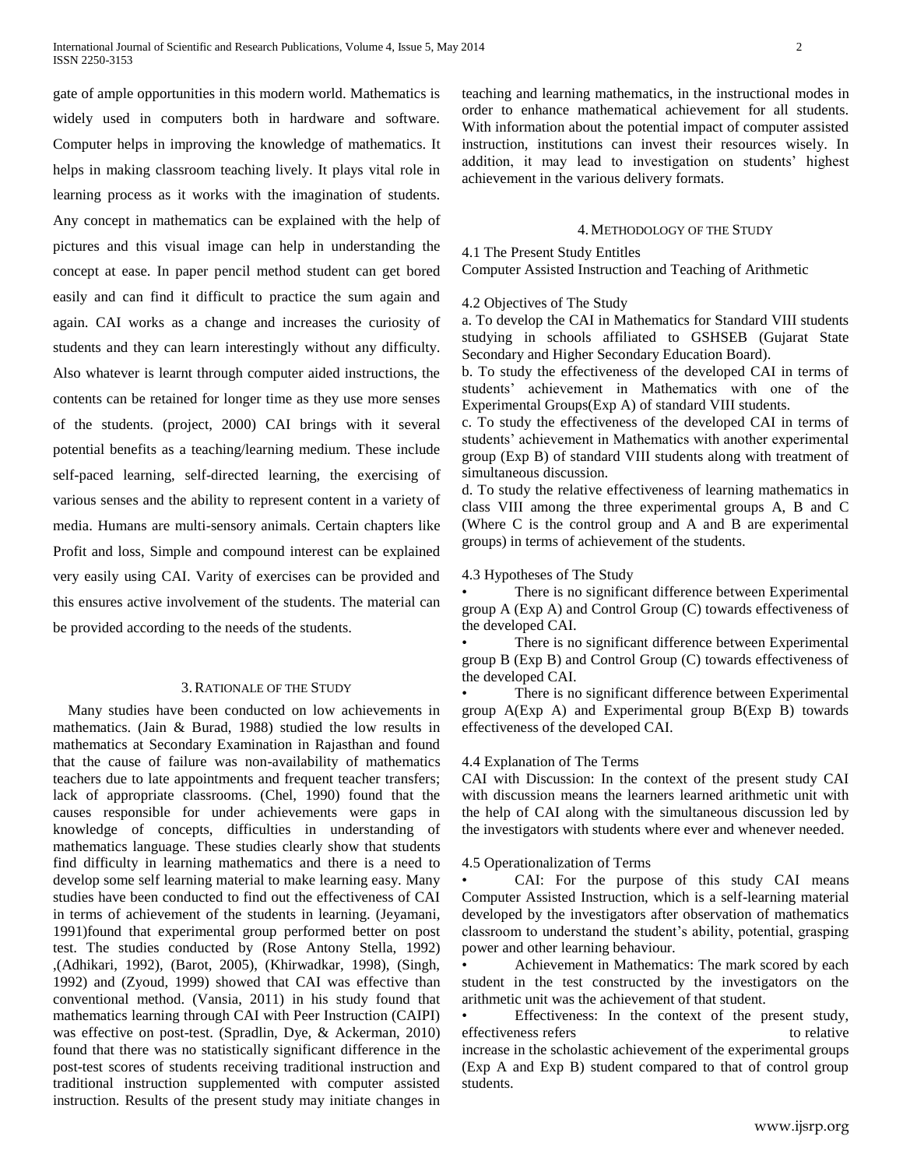gate of ample opportunities in this modern world. Mathematics is widely used in computers both in hardware and software. Computer helps in improving the knowledge of mathematics. It helps in making classroom teaching lively. It plays vital role in learning process as it works with the imagination of students. Any concept in mathematics can be explained with the help of pictures and this visual image can help in understanding the concept at ease. In paper pencil method student can get bored easily and can find it difficult to practice the sum again and again. CAI works as a change and increases the curiosity of students and they can learn interestingly without any difficulty. Also whatever is learnt through computer aided instructions, the contents can be retained for longer time as they use more senses of the students. (project, 2000) CAI brings with it several potential benefits as a teaching/learning medium. These include self-paced learning, self-directed learning, the exercising of various senses and the ability to represent content in a variety of media. Humans are multi-sensory animals. Certain chapters like Profit and loss, Simple and compound interest can be explained very easily using CAI. Varity of exercises can be provided and this ensures active involvement of the students. The material can be provided according to the needs of the students.

### 3.RATIONALE OF THE STUDY

 Many studies have been conducted on low achievements in mathematics. (Jain & Burad, 1988) studied the low results in mathematics at Secondary Examination in Rajasthan and found that the cause of failure was non-availability of mathematics teachers due to late appointments and frequent teacher transfers; lack of appropriate classrooms. (Chel, 1990) found that the causes responsible for under achievements were gaps in knowledge of concepts, difficulties in understanding of mathematics language. These studies clearly show that students find difficulty in learning mathematics and there is a need to develop some self learning material to make learning easy. Many studies have been conducted to find out the effectiveness of CAI in terms of achievement of the students in learning. (Jeyamani, 1991)found that experimental group performed better on post test. The studies conducted by (Rose Antony Stella, 1992) ,(Adhikari, 1992), (Barot, 2005), (Khirwadkar, 1998), (Singh, 1992) and (Zyoud, 1999) showed that CAI was effective than conventional method. (Vansia, 2011) in his study found that mathematics learning through CAI with Peer Instruction (CAIPI) was effective on post-test. (Spradlin, Dye, & Ackerman, 2010) found that there was no statistically significant difference in the post-test scores of students receiving traditional instruction and traditional instruction supplemented with computer assisted instruction. Results of the present study may initiate changes in teaching and learning mathematics, in the instructional modes in order to enhance mathematical achievement for all students. With information about the potential impact of computer assisted instruction, institutions can invest their resources wisely. In addition, it may lead to investigation on students' highest achievement in the various delivery formats.

#### 4.METHODOLOGY OF THE STUDY

### 4.1 The Present Study Entitles

Computer Assisted Instruction and Teaching of Arithmetic

#### 4.2 Objectives of The Study

a. To develop the CAI in Mathematics for Standard VIII students studying in schools affiliated to GSHSEB (Gujarat State Secondary and Higher Secondary Education Board).

b. To study the effectiveness of the developed CAI in terms of students' achievement in Mathematics with one of the Experimental Groups(Exp A) of standard VIII students.

c. To study the effectiveness of the developed CAI in terms of students' achievement in Mathematics with another experimental group (Exp B) of standard VIII students along with treatment of simultaneous discussion.

d. To study the relative effectiveness of learning mathematics in class VIII among the three experimental groups A, B and C (Where C is the control group and A and B are experimental groups) in terms of achievement of the students.

### 4.3 Hypotheses of The Study

There is no significant difference between Experimental group A (Exp A) and Control Group (C) towards effectiveness of the developed CAI.

There is no significant difference between Experimental group B (Exp B) and Control Group (C) towards effectiveness of the developed CAI.

There is no significant difference between Experimental group A(Exp A) and Experimental group B(Exp B) towards effectiveness of the developed CAI.

# 4.4 Explanation of The Terms

CAI with Discussion: In the context of the present study CAI with discussion means the learners learned arithmetic unit with the help of CAI along with the simultaneous discussion led by the investigators with students where ever and whenever needed.

#### 4.5 Operationalization of Terms

• CAI: For the purpose of this study CAI means Computer Assisted Instruction, which is a self-learning material developed by the investigators after observation of mathematics classroom to understand the student's ability, potential, grasping power and other learning behaviour.

• Achievement in Mathematics: The mark scored by each student in the test constructed by the investigators on the arithmetic unit was the achievement of that student.

Effectiveness: In the context of the present study, effectiveness refers to relative to relative increase in the scholastic achievement of the experimental groups (Exp A and Exp B) student compared to that of control group students.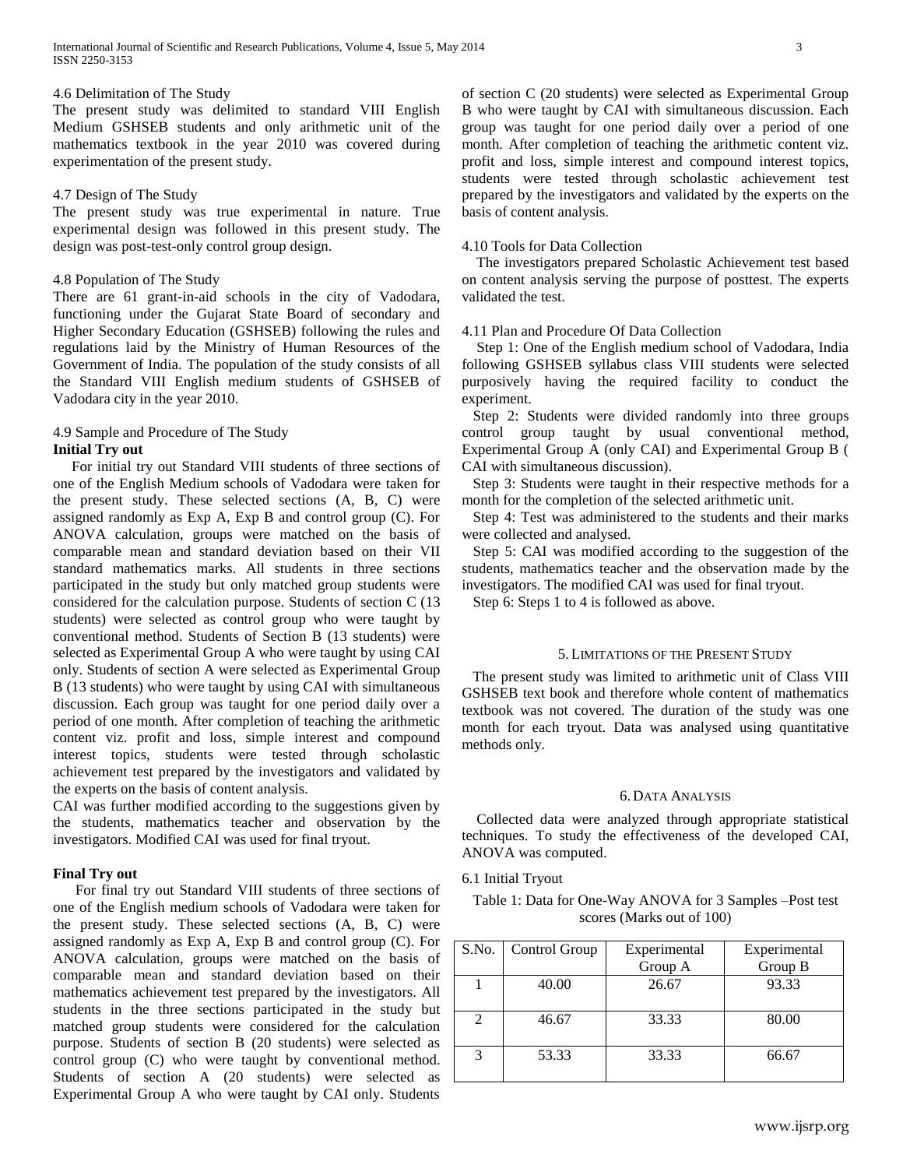### 4.6 Delimitation of The Study

The present study was delimited to standard VIII English Medium GSHSEB students and only arithmetic unit of the mathematics textbook in the year 2010 was covered during experimentation of the present study.

# 4.7 Design of The Study

The present study was true experimental in nature. True experimental design was followed in this present study. The design was post-test-only control group design.

# 4.8 Population of The Study

There are 61 grant-in-aid schools in the city of Vadodara, functioning under the Gujarat State Board of secondary and Higher Secondary Education (GSHSEB) following the rules and regulations laid by the Ministry of Human Resources of the Government of India. The population of the study consists of all the Standard VIII English medium students of GSHSEB of Vadodara city in the year 2010.

### 4.9 Sample and Procedure of The Study **Initial Try out**

 For initial try out Standard VIII students of three sections of one of the English Medium schools of Vadodara were taken for the present study. These selected sections (A, B, C) were assigned randomly as Exp A, Exp B and control group (C). For ANOVA calculation, groups were matched on the basis of comparable mean and standard deviation based on their VII standard mathematics marks. All students in three sections participated in the study but only matched group students were considered for the calculation purpose. Students of section C (13 students) were selected as control group who were taught by conventional method. Students of Section B (13 students) were selected as Experimental Group A who were taught by using CAI only. Students of section A were selected as Experimental Group B (13 students) who were taught by using CAI with simultaneous discussion. Each group was taught for one period daily over a period of one month. After completion of teaching the arithmetic content viz. profit and loss, simple interest and compound interest topics, students were tested through scholastic achievement test prepared by the investigators and validated by the experts on the basis of content analysis.

CAI was further modified according to the suggestions given by the students, mathematics teacher and observation by the investigators. Modified CAI was used for final tryout.

# **Final Try out**

 For final try out Standard VIII students of three sections of one of the English medium schools of Vadodara were taken for the present study. These selected sections (A, B, C) were assigned randomly as Exp A, Exp B and control group (C). For ANOVA calculation, groups were matched on the basis of comparable mean and standard deviation based on their mathematics achievement test prepared by the investigators. All students in the three sections participated in the study but matched group students were considered for the calculation purpose. Students of section B (20 students) were selected as control group (C) who were taught by conventional method. Students of section A (20 students) were selected as Experimental Group A who were taught by CAI only. Students

of section C (20 students) were selected as Experimental Group B who were taught by CAI with simultaneous discussion. Each group was taught for one period daily over a period of one month. After completion of teaching the arithmetic content viz. profit and loss, simple interest and compound interest topics, students were tested through scholastic achievement test prepared by the investigators and validated by the experts on the basis of content analysis.

# 4.10 Tools for Data Collection

 The investigators prepared Scholastic Achievement test based on content analysis serving the purpose of posttest. The experts validated the test.

# 4.11 Plan and Procedure Of Data Collection

 Step 1: One of the English medium school of Vadodara, India following GSHSEB syllabus class VIII students were selected purposively having the required facility to conduct the experiment.

 Step 2: Students were divided randomly into three groups control group taught by usual conventional method, Experimental Group A (only CAI) and Experimental Group B ( CAI with simultaneous discussion).

 Step 3: Students were taught in their respective methods for a month for the completion of the selected arithmetic unit.

 Step 4: Test was administered to the students and their marks were collected and analysed.

 Step 5: CAI was modified according to the suggestion of the students, mathematics teacher and the observation made by the investigators. The modified CAI was used for final tryout.

Step 6: Steps 1 to 4 is followed as above.

#### 5.LIMITATIONS OF THE PRESENT STUDY

 The present study was limited to arithmetic unit of Class VIII GSHSEB text book and therefore whole content of mathematics textbook was not covered. The duration of the study was one month for each tryout. Data was analysed using quantitative methods only.

# 6. DATA ANALYSIS

 Collected data were analyzed through appropriate statistical techniques. To study the effectiveness of the developed CAI, ANOVA was computed.

6.1 Initial Tryout

Table 1: Data for One-Way ANOVA for 3 Samples –Post test scores (Marks out of 100)

| S.No.          | Control Group | Experimental<br>Group A | Experimental<br>Group B |
|----------------|---------------|-------------------------|-------------------------|
|                | 40.00         | 26.67                   | 93.33                   |
| $\mathfrak{D}$ | 46.67         | 33.33                   | 80.00                   |
| 3              | 53.33         | 33.33                   | 66.67                   |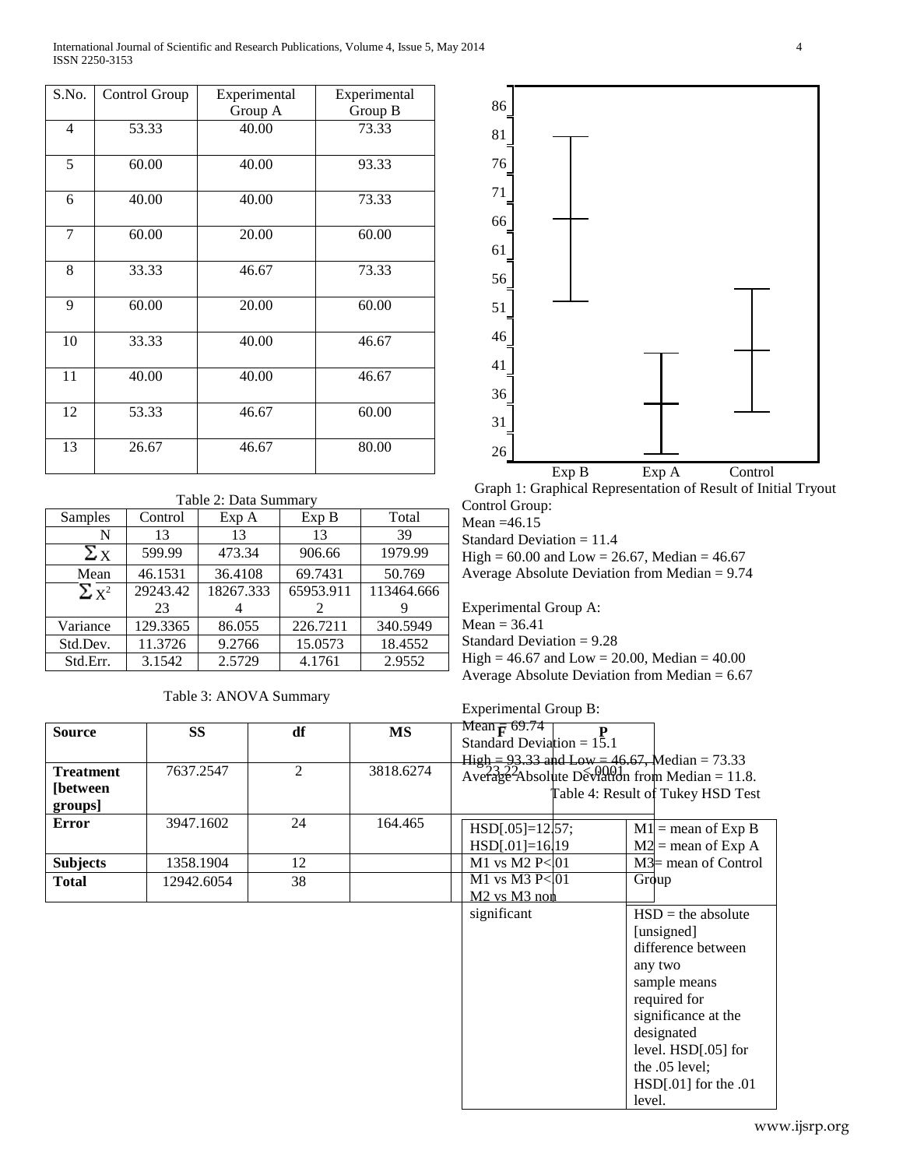International Journal of Scientific and Research Publications, Volume 4, Issue 5, May 2014 4 ISSN 2250-3153

| S.No.          | Control Group | Experimental | Experimental |
|----------------|---------------|--------------|--------------|
|                |               | Group A      | Group B      |
| $\overline{4}$ | 53.33         | 40.00        | 73.33        |
| 5              | 60.00         | 40.00        | 93.33        |
| 6              | 40.00         | 40.00        | 73.33        |
| $\overline{7}$ | 60.00         | 20.00        | 60.00        |
| 8              | 33.33         | 46.67        | 73.33        |
| 9              | 60.00         | 20.00        | 60.00        |
| 10             | 33.33         | 40.00        | 46.67        |
| 11             | 40.00         | 40.00        | 46.67        |
| 12             | 53.33         | 46.67        | 60.00        |
| 13             | 26.67         | 46.67        | 80.00        |

# Table 2: Data Summary

| Control  | Exp A     | Exp B     | Total      |
|----------|-----------|-----------|------------|
| 13       | 13        | 13        | 39         |
| 599.99   | 473.34    | 906.66    | 1979.99    |
| 46.1531  | 36.4108   | 69.7431   | 50.769     |
| 29243.42 | 18267.333 | 65953.911 | 113464.666 |
| 23       |           |           |            |
| 129.3365 | 86.055    | 226.7211  | 340.5949   |
| 11.3726  | 9.2766    | 15.0573   | 18.4552    |
| 3.1542   | 2.5729    | 4.1761    | 2.9552     |
|          |           |           |            |

Table 3: ANOVA Summary



Graph 1: Graphical Representation of Result of Initial Tryout Control Group:

Mean =46.15

Standard Deviation = 11.4

 $High = 60.00$  and  $Low = 26.67$ , Median = 46.67

Average Absolute Deviation from Median = 9.74

Experimental Group A:  $Mean = 36.41$ Standard Deviation = 9.28

High =  $46.67$  and Low =  $20.00$ , Median =  $40.00$ Average Absolute Deviation from Median = 6.67

| <b>Experimental Group B:</b> |  |
|------------------------------|--|

| <b>Source</b>     | <b>SS</b>  | df             | <b>MS</b> | Mean $\bar{F}$ 69.74                                  |                                   |
|-------------------|------------|----------------|-----------|-------------------------------------------------------|-----------------------------------|
|                   |            |                |           | Standard Deviation = $1\overline{5}.1$                |                                   |
|                   |            |                |           | $\mu_{\rm I} = 93.33$ and Low = 46.67, Median = 73.33 |                                   |
| <b>Treatment</b>  | 7637.2547  | $\overline{2}$ | 3818.6274 | Average Absolute Déviation from Median = $11.8$ .     |                                   |
| <b>[between</b> ] |            |                |           |                                                       |                                   |
| groups]           |            |                |           |                                                       | Table 4: Result of Tukey HSD Test |
|                   |            |                |           |                                                       |                                   |
| <b>Error</b>      | 3947.1602  | 24             | 164.465   | $HSD[.05]=12\,57;$                                    | $M1$ = mean of Exp B              |
|                   |            |                |           | $HSD[.01]=16.19$                                      | $M2$ = mean of Exp A              |
| <b>Subjects</b>   | 1358.1904  | 12             |           | M1 vs M2 P<101                                        | $M3$ mean of Control              |
| <b>Total</b>      | 12942.6054 | 38             |           | M1 vs M3 P<01                                         | Group                             |
|                   |            |                |           | M <sub>2</sub> vs M <sub>3</sub> non                  |                                   |
|                   |            |                |           | significant                                           | $HSD =$ the absolute              |
|                   |            |                |           |                                                       | [unsigned]                        |
|                   |            |                |           |                                                       | difference between                |
|                   |            |                |           |                                                       | any two                           |
|                   |            |                |           |                                                       | sample means                      |
|                   |            |                |           |                                                       | required for                      |
|                   |            |                |           |                                                       | significance at the               |
|                   |            |                |           |                                                       | designated                        |
|                   |            |                |           |                                                       | level. HSD[.05] for               |
|                   |            |                |           |                                                       | the .05 level;                    |
|                   |            |                |           |                                                       | $HSD[.01]$ for the .01            |
|                   |            |                |           |                                                       | level.                            |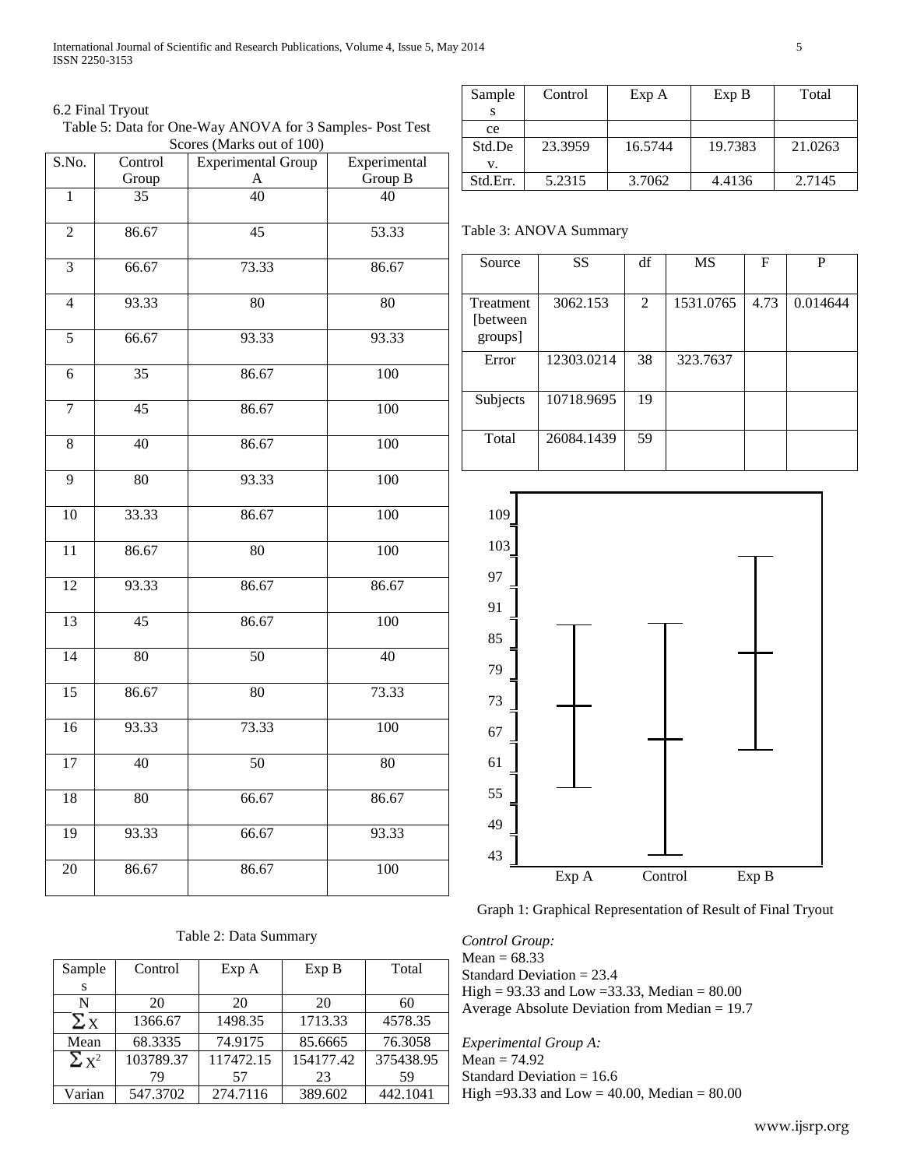# 6.2 Final Tryout

Table 5: Data for One-Way ANOVA for 3 Samples- Post Test Scores (Marks out of 100)

| S.No.           | Control         | <b>Experimental Group</b> | Experimental     |  |
|-----------------|-----------------|---------------------------|------------------|--|
|                 | Group           | A                         | Group B          |  |
| $\overline{1}$  | $\overline{35}$ | $\overline{40}$           | 40               |  |
| $\overline{2}$  | 86.67           | 45                        | 53.33            |  |
| 3               | 66.67           | 73.33                     | 86.67            |  |
| $\overline{4}$  | 93.33           | 80                        | 80               |  |
| $\overline{5}$  | 66.67           | 93.33                     | 93.33            |  |
| $\overline{6}$  | $\overline{35}$ | 86.67                     | 100              |  |
| $\overline{7}$  | 45              | 86.67                     | 100              |  |
| 8               | 40              | 86.67                     | $\overline{100}$ |  |
| $\overline{9}$  | $\overline{80}$ | 93.33                     | 100              |  |
| $\overline{10}$ | 33.33           | 86.67                     | 100              |  |
| $\overline{11}$ | 86.67           | 80                        | 100              |  |
| 12              | 93.33           | 86.67                     | 86.67            |  |
| 13              | 45              | 86.67                     | 100              |  |
| $\overline{14}$ | $\overline{80}$ | $\overline{50}$           | $\overline{40}$  |  |
| 15              | 86.67           | $\overline{80}$           | 73.33            |  |
| $\overline{16}$ | 93.33           | 73.33                     | 100              |  |
| 17              | 40              | 50                        | 80               |  |
| 18              | $\overline{80}$ | 66.67                     | 86.67            |  |
| 19              | 93.33           | 66.67                     | 93.33            |  |
| $\overline{20}$ | 86.67           | 86.67                     | 100              |  |

# Table 2: Data Summary

| Sample       | Control   | Exp A     | Exp B     | Total     |
|--------------|-----------|-----------|-----------|-----------|
| S            |           |           |           |           |
| N            | 20        | 20        | 20        | 60        |
| $\Sigma_{X}$ | 1366.67   | 1498.35   | 1713.33   | 4578.35   |
| Mean         | 68.3335   | 74.9175   | 85.6665   | 76.3058   |
| $\Sigma x^2$ | 103789.37 | 117472.15 | 154177.42 | 375438.95 |
|              | 79        | 57        | 23        | 59        |
| Varian       | 547.3702  | 274.7116  | 389.602   | 442.1041  |

| Sample   | Control | Exp A   | Exp B   | Total   |
|----------|---------|---------|---------|---------|
|          |         |         |         |         |
| ce       |         |         |         |         |
| Std.De   | 23.3959 | 16.5744 | 19.7383 | 21.0263 |
| v.       |         |         |         |         |
| Std.Err. | 5.2315  | 3.7062  | 4.4136  | 2.7145  |

|  |  |  |  | Table 3: ANOVA Summary |  |
|--|--|--|--|------------------------|--|
|--|--|--|--|------------------------|--|

| Source                            | <b>SS</b>  | df | <b>MS</b> | F    | P        |
|-----------------------------------|------------|----|-----------|------|----------|
| Treatment<br>[between]<br>groups] | 3062.153   | 2  | 1531.0765 | 4.73 | 0.014644 |
| Error                             | 12303.0214 | 38 | 323.7637  |      |          |
| Subjects                          | 10718.9695 | 19 |           |      |          |
| Total                             | 26084.1439 | 59 |           |      |          |



Graph 1: Graphical Representation of Result of Final Tryout

*Control Group:*   $Mean = 68.33$ Standard Deviation = 23.4 High =  $93.33$  and Low =  $33.33$ , Median =  $80.00$ Average Absolute Deviation from Median = 19.7

*Experimental Group A:*   $Mean = 74.92$ Standard Deviation = 16.6 High =93.33 and Low = 40.00, Median = 80.00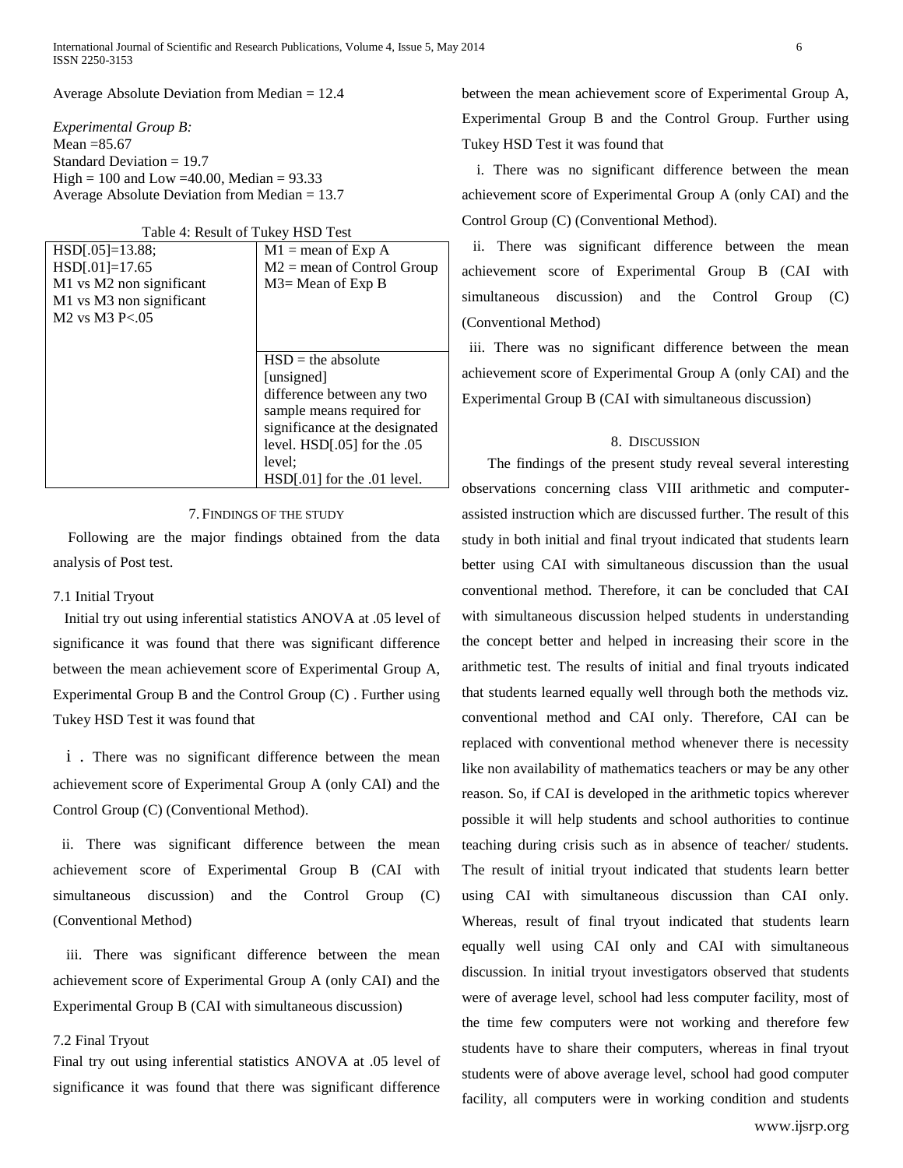Average Absolute Deviation from Median = 12.4

*Experimental Group B:*  Mean =85.67 Standard Deviation = 19.7 High = 100 and Low = 40.00, Median =  $93.33$ Average Absolute Deviation from Median = 13.7

| Table 4: Result of Tukey HSD Test |  |
|-----------------------------------|--|
|                                   |  |

| $HSD[.05]=13.88;$        | $M1$ = mean of Exp A            |
|--------------------------|---------------------------------|
| $HSD[.01]=17.65$         | $M2$ = mean of Control Group    |
| M1 vs M2 non significant | $M3$ = Mean of Exp B            |
| M1 vs M3 non significant |                                 |
| $M2$ vs $M3$ P $< 0.05$  |                                 |
|                          |                                 |
|                          |                                 |
|                          | $HSD =$ the absolute            |
|                          | [unsigned]                      |
|                          | difference between any two      |
|                          | sample means required for       |
|                          | significance at the designated  |
|                          | level. $HSD[.05]$ for the $.05$ |
|                          | level:                          |
|                          | HSD[.01] for the .01 level.     |

# 7. FINDINGS OF THE STUDY

 Following are the major findings obtained from the data analysis of Post test.

### 7.1 Initial Tryout

 Initial try out using inferential statistics ANOVA at .05 level of significance it was found that there was significant difference between the mean achievement score of Experimental Group A, Experimental Group B and the Control Group (C) . Further using Tukey HSD Test it was found that

 i . There was no significant difference between the mean achievement score of Experimental Group A (only CAI) and the Control Group (C) (Conventional Method).

 ii. There was significant difference between the mean achievement score of Experimental Group B (CAI with simultaneous discussion) and the Control Group (C) (Conventional Method)

 iii. There was significant difference between the mean achievement score of Experimental Group A (only CAI) and the Experimental Group B (CAI with simultaneous discussion)

# 7.2 Final Tryout

Final try out using inferential statistics ANOVA at .05 level of significance it was found that there was significant difference

between the mean achievement score of Experimental Group A, Experimental Group B and the Control Group. Further using Tukey HSD Test it was found that

 i. There was no significant difference between the mean achievement score of Experimental Group A (only CAI) and the Control Group (C) (Conventional Method).

 ii. There was significant difference between the mean achievement score of Experimental Group B (CAI with simultaneous discussion) and the Control Group (C) (Conventional Method)

 iii. There was no significant difference between the mean achievement score of Experimental Group A (only CAI) and the Experimental Group B (CAI with simultaneous discussion)

# 8. DISCUSSION

 The findings of the present study reveal several interesting observations concerning class VIII arithmetic and computerassisted instruction which are discussed further. The result of this study in both initial and final tryout indicated that students learn better using CAI with simultaneous discussion than the usual conventional method. Therefore, it can be concluded that CAI with simultaneous discussion helped students in understanding the concept better and helped in increasing their score in the arithmetic test. The results of initial and final tryouts indicated that students learned equally well through both the methods viz. conventional method and CAI only. Therefore, CAI can be replaced with conventional method whenever there is necessity like non availability of mathematics teachers or may be any other reason. So, if CAI is developed in the arithmetic topics wherever possible it will help students and school authorities to continue teaching during crisis such as in absence of teacher/ students. The result of initial tryout indicated that students learn better using CAI with simultaneous discussion than CAI only. Whereas, result of final tryout indicated that students learn equally well using CAI only and CAI with simultaneous discussion. In initial tryout investigators observed that students were of average level, school had less computer facility, most of the time few computers were not working and therefore few students have to share their computers, whereas in final tryout students were of above average level, school had good computer facility, all computers were in working condition and students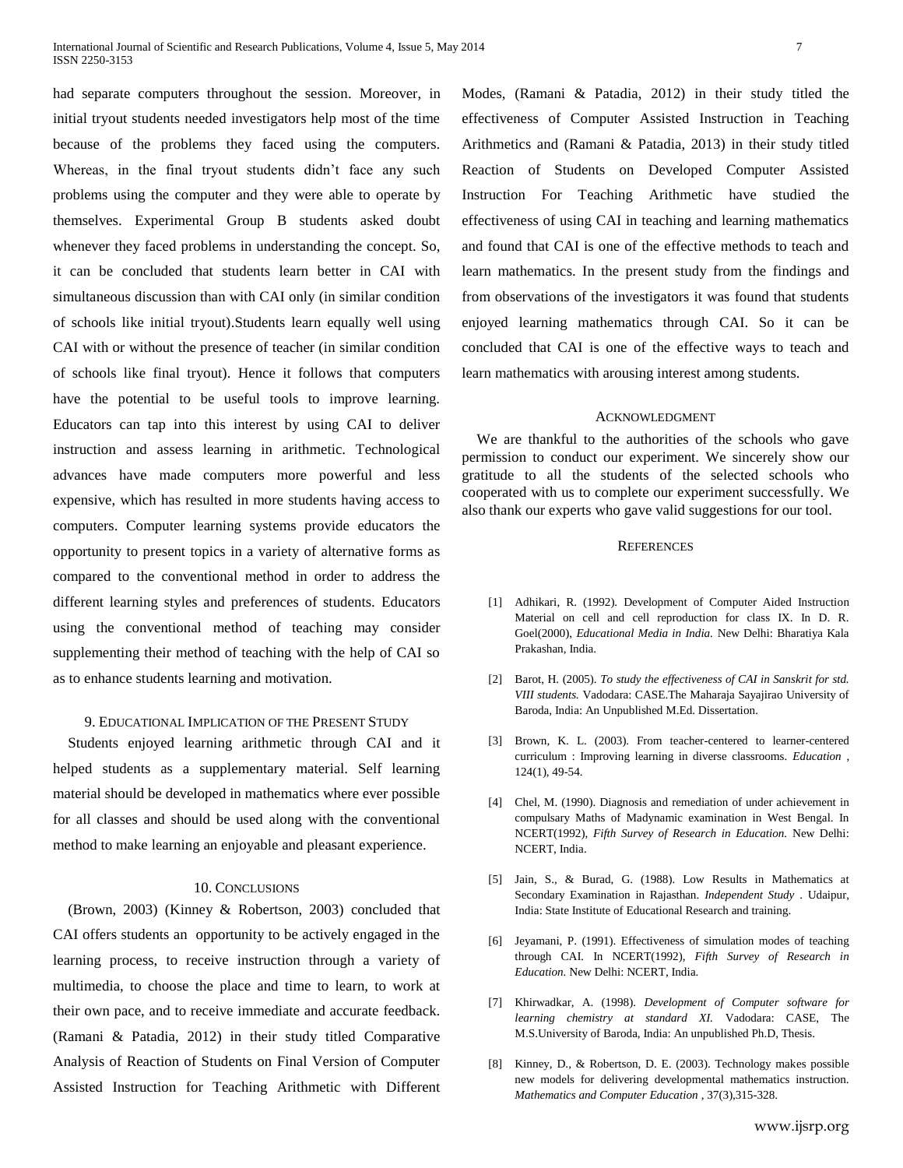had separate computers throughout the session. Moreover, in initial tryout students needed investigators help most of the time because of the problems they faced using the computers. Whereas, in the final tryout students didn't face any such problems using the computer and they were able to operate by themselves. Experimental Group B students asked doubt whenever they faced problems in understanding the concept. So, it can be concluded that students learn better in CAI with simultaneous discussion than with CAI only (in similar condition of schools like initial tryout).Students learn equally well using CAI with or without the presence of teacher (in similar condition of schools like final tryout). Hence it follows that computers have the potential to be useful tools to improve learning. Educators can tap into this interest by using CAI to deliver instruction and assess learning in arithmetic. Technological advances have made computers more powerful and less expensive, which has resulted in more students having access to computers. Computer learning systems provide educators the opportunity to present topics in a variety of alternative forms as compared to the conventional method in order to address the different learning styles and preferences of students. Educators using the conventional method of teaching may consider supplementing their method of teaching with the help of CAI so as to enhance students learning and motivation.

# 9. EDUCATIONAL IMPLICATION OF THE PRESENT STUDY

 Students enjoyed learning arithmetic through CAI and it helped students as a supplementary material. Self learning material should be developed in mathematics where ever possible for all classes and should be used along with the conventional method to make learning an enjoyable and pleasant experience.

# 10. CONCLUSIONS

 (Brown, 2003) (Kinney & Robertson, 2003) concluded that CAI offers students an opportunity to be actively engaged in the learning process, to receive instruction through a variety of multimedia, to choose the place and time to learn, to work at their own pace, and to receive immediate and accurate feedback. (Ramani & Patadia, 2012) in their study titled Comparative Analysis of Reaction of Students on Final Version of Computer Assisted Instruction for Teaching Arithmetic with Different Modes, (Ramani & Patadia, 2012) in their study titled the effectiveness of Computer Assisted Instruction in Teaching Arithmetics and (Ramani & Patadia, 2013) in their study titled Reaction of Students on Developed Computer Assisted Instruction For Teaching Arithmetic have studied the effectiveness of using CAI in teaching and learning mathematics and found that CAI is one of the effective methods to teach and learn mathematics. In the present study from the findings and from observations of the investigators it was found that students enjoyed learning mathematics through CAI. So it can be concluded that CAI is one of the effective ways to teach and learn mathematics with arousing interest among students.

#### ACKNOWLEDGMENT

We are thankful to the authorities of the schools who gave permission to conduct our experiment. We sincerely show our gratitude to all the students of the selected schools who cooperated with us to complete our experiment successfully. We also thank our experts who gave valid suggestions for our tool.

#### **REFERENCES**

- [1] Adhikari, R. (1992). Development of Computer Aided Instruction Material on cell and cell reproduction for class IX. In D. R. Goel(2000), *Educational Media in India.* New Delhi: Bharatiya Kala Prakashan, India.
- [2] Barot, H. (2005). *To study the effectiveness of CAI in Sanskrit for std. VIII students.* Vadodara: CASE.The Maharaja Sayajirao University of Baroda, India: An Unpublished M.Ed. Dissertation.
- [3] Brown, K. L. (2003). From teacher-centered to learner-centered curriculum : Improving learning in diverse classrooms. *Education* , 124(1), 49-54.
- [4] Chel, M. (1990). Diagnosis and remediation of under achievement in compulsary Maths of Madynamic examination in West Bengal. In NCERT(1992), *Fifth Survey of Research in Education.* New Delhi: NCERT, India.
- [5] Jain, S., & Burad, G. (1988). Low Results in Mathematics at Secondary Examination in Rajasthan. *Independent Study* . Udaipur, India: State Institute of Educational Research and training.
- [6] Jeyamani, P. (1991). Effectiveness of simulation modes of teaching through CAI. In NCERT(1992), *Fifth Survey of Research in Education.* New Delhi: NCERT, India.
- [7] Khirwadkar, A. (1998). *Development of Computer software for learning chemistry at standard XI.* Vadodara: CASE, The M.S.University of Baroda, India: An unpublished Ph.D, Thesis.
- [8] Kinney, D., & Robertson, D. E. (2003). Technology makes possible new models for delivering developmental mathematics instruction. *Mathematics and Computer Education* , 37(3),315-328.